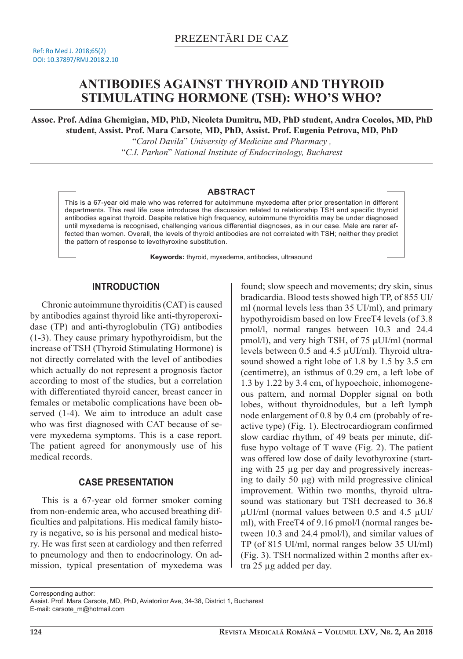# **ANTIBODIES AGAINST THYROID AND THYROID STIMULATING HORMONE (TSH): WHO'S WHO?**

**Assoc. Prof. Adina Ghemigian, MD, PhD, Nicoleta Dumitru, MD, PhD student, Andra Cocolos, MD, PhD student, Assist. Prof. Mara Carsote, MD, PhD, Assist. Prof. Eugenia Petrova, MD, PhD**

> "*Carol Davila*" *University of Medicine and Pharmacy ,* "*C.I. Parhon*" *National Institute of Endocrinology, Bucharest*

#### **ABSTRACT**

This is a 67-year old male who was referred for autoimmune myxedema after prior presentation in different departments. This real life case introduces the discussion related to relationship TSH and specific thyroid antibodies against thyroid. Despite relative high frequency, autoimmune thyroiditis may be under diagnosed until myxedema is recognised, challenging various differential diagnoses, as in our case. Male are rarer affected than women. Overall, the levels of thyroid antibodies are not correlated with TSH; neither they predict the pattern of response to levothyroxine substitution.

**Keywords:** thyroid, myxedema, antibodies, ultrasound

### **INTRODUCTION**

Chronic autoimmune thyroiditis (CAT) is caused by antibodies against thyroid like anti-thyroperoxidase (TP) and anti-thyroglobulin (TG) antibodies (1-3). They cause primary hypothyroidism, but the increase of TSH (Thyroid Stimulating Hormone) is not directly correlated with the level of antibodies which actually do not represent a prognosis factor according to most of the studies, but a correlation with differentiated thyroid cancer, breast cancer in females or metabolic complications have been observed (1-4). We aim to introduce an adult case who was first diagnosed with CAT because of severe myxedema symptoms. This is a case report. The patient agreed for anonymously use of his medical records.

## **CASE PRESENTATION**

This is a 67-year old former smoker coming from non-endemic area, who accused breathing difficulties and palpitations. His medical family history is negative, so is his personal and medical history. He was first seen at cardiology and then referred to pneumology and then to endocrinology. On admission, typical presentation of myxedema was found; slow speech and movements; dry skin, sinus bradicardia. Blood tests showed high TP, of 855 UI/ ml (normal levels less than 35 UI/ml), and primary hypothyroidism based on low FreeT4 levels (of 3.8 pmol/l, normal ranges between 10.3 and 24.4 pmol/l), and very high TSH, of 75 μUI/ml (normal levels between 0.5 and 4.5 μUI/ml). Thyroid ultrasound showed a right lobe of 1.8 by 1.5 by 3.5 cm (centimetre), an isthmus of 0.29 cm, a left lobe of 1.3 by 1.22 by 3.4 cm, of hypoechoic, inhomogeneous pattern, and normal Doppler signal on both lobes, without thyroidnodules, but a left lymph node enlargement of 0.8 by 0.4 cm (probably of reactive type) (Fig. 1). Electrocardiogram confirmed slow cardiac rhythm, of 49 beats per minute, diffuse hypo voltage of T wave (Fig. 2). The patient was offered low dose of daily levothyroxine (starting with 25 μg per day and progressively increasing to daily 50 μg) with mild progressive clinical improvement. Within two months, thyroid ultrasound was stationary but TSH decreased to 36.8 μUI/ml (normal values between 0.5 and 4.5 μUI/ ml), with FreeT4 of 9.16 pmol/l (normal ranges between 10.3 and 24.4 pmol/l), and similar values of TP (of 815 UI/ml, normal ranges below 35 UI/ml) (Fig. 3). TSH normalized within 2 months after extra 25 μg added per day.

Corresponding author:

E-mail: carsote\_m@hotmail.com

Assist. Prof. Mara Carsote, MD, PhD, Aviatorilor Ave, 34-38, District 1, Bucharest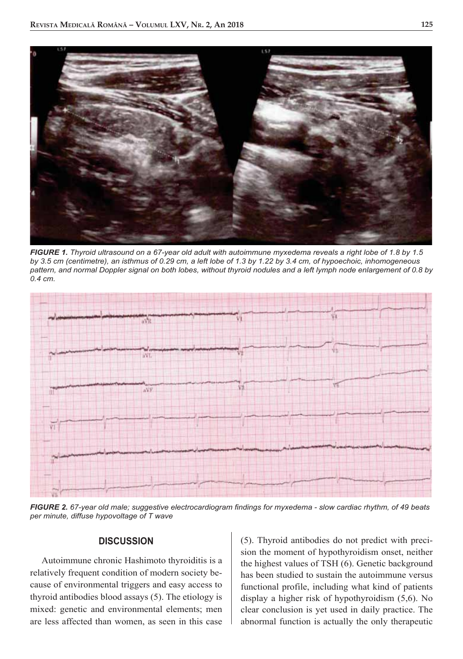

*FIGURE 1. Thyroid ultrasound on a 67-year old adult with autoimmune myxedema reveals a right lobe of 1.8 by 1.5 by 3.5 cm (centimetre), an isthmus of 0.29 cm, a left lobe of 1.3 by 1.22 by 3.4 cm, of hypoechoic, inhomogeneous pattern, and normal Doppler signal on both lobes, without thyroid nodules and a left lymph node enlargement of 0.8 by 0.4 cm.*



*FIGURE 2. 67-year old male; suggestive electrocardiogram findings for myxedema - slow cardiac rhythm, of 49 beats per minute, diffuse hypovoltage of T wave*

#### **DISCUSSION**

Autoimmune chronic Hashimoto thyroiditis is a relatively frequent condition of modern society because of environmental triggers and easy access to thyroid antibodies blood assays (5). The etiology is mixed: genetic and environmental elements; men are less affected than women, as seen in this case (5). Thyroid antibodies do not predict with precision the moment of hypothyroidism onset, neither the highest values of TSH (6). Genetic background has been studied to sustain the autoimmune versus functional profile, including what kind of patients display a higher risk of hypothyroidism (5,6). No clear conclusion is yet used in daily practice. The abnormal function is actually the only therapeutic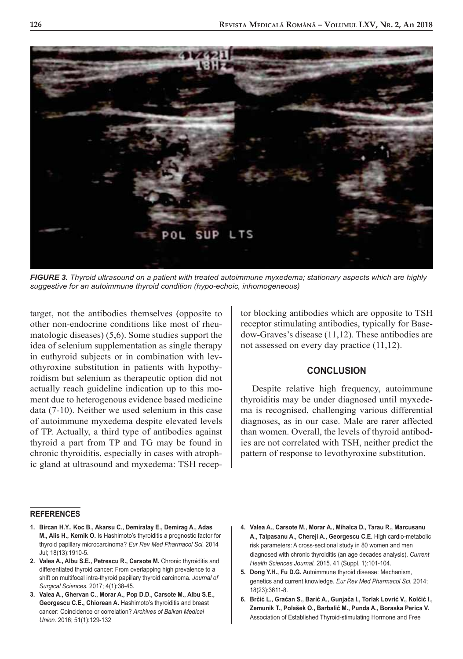

*FIGURE 3. Thyroid ultrasound on a patient with treated autoimmune myxedema; stationary aspects which are highly suggestive for an autoimmune thyroid condition (hypo-echoic, inhomogeneous)* 

target, not the antibodies themselves (opposite to other non-endocrine conditions like most of rheumatologic diseases) (5,6). Some studies support the idea of selenium supplementation as single therapy in euthyroid subjects or in combination with levothyroxine substitution in patients with hypothyroidism but selenium as therapeutic option did not actually reach guideline indication up to this moment due to heterogenous evidence based medicine data (7-10). Neither we used selenium in this case of autoimmune myxedema despite elevated levels of TP. Actually, a third type of antibodies against thyroid a part from TP and TG may be found in chronic thyroiditis, especially in cases with atrophic gland at ultrasound and myxedema: TSH recep-

## tor blocking antibodies which are opposite to TSH receptor stimulating antibodies, typically for Basedow-Graves's disease (11,12). These antibodies are not assessed on every day practice (11,12).

### **CONCLUSION**

Despite relative high frequency, autoimmune thyroiditis may be under diagnosed until myxedema is recognised, challenging various differential diagnoses, as in our case. Male are rarer affected than women. Overall, the levels of thyroid antibodies are not correlated with TSH, neither predict the pattern of response to levothyroxine substitution.

#### **REFERENCES**

- **1. Bircan H.Y., Koc B., Akarsu C., Demiralay E., Demirag A., Adas M., Alis H., Kemik O.** Is Hashimoto's thyroiditis a prognostic factor for thyroid papillary microcarcinoma? *Eur Rev Med Pharmacol Sci.* 2014 Jul; 18(13):1910-5.
- 2. Valea A., Albu S.E., Petrescu R., Carsote M. Chronic thyroiditis and differentiated thyroid cancer: From overlapping high prevalence to a shift on multifocal intra-thyroid papillary thyroid carcinoma. *Journal of Surgical Sciences.* 2017; 4(1):38-45.
- **3. Valea A., Ghervan C., Morar A., Pop D.D., Carsote M., Albu S.E., Georgescu C.E., Chiorean A.** Hashimoto's thyroiditis and breast cancer: Coincidence or correlation? *Archives of Balkan Medical Union.* 2016; 51(1):129-132
- **4. Valea A., Carsote M., Morar A., Mihalca D., Tarau R., Marcusanu A., Talpasanu A., Chereji A., Georgescu C.E.** High cardio-metabolic risk parameters: A cross-sectional study in 80 women and men diagnosed with chronic thyroiditis (an age decades analysis). *Current Health Sciences Journal.* 2015. 41 (Suppl. 1):101-104.
- **5. Dong Y.H., Fu D.G.** Autoimmune thyroid disease: Mechanism, genetics and current knowledge. *Eur Rev Med Pharmacol Sci.* 2014; 18(23):3611-8.
- **6. Brčić L., Gračan S., Barić A., Gunjača I., Torlak Lovrić V., Kolčić I., Zemunik T., Polašek O., Barbalić M., Punda A., Boraska Perica V.**  Association of Established Thyroid-stimulating Hormone and Free